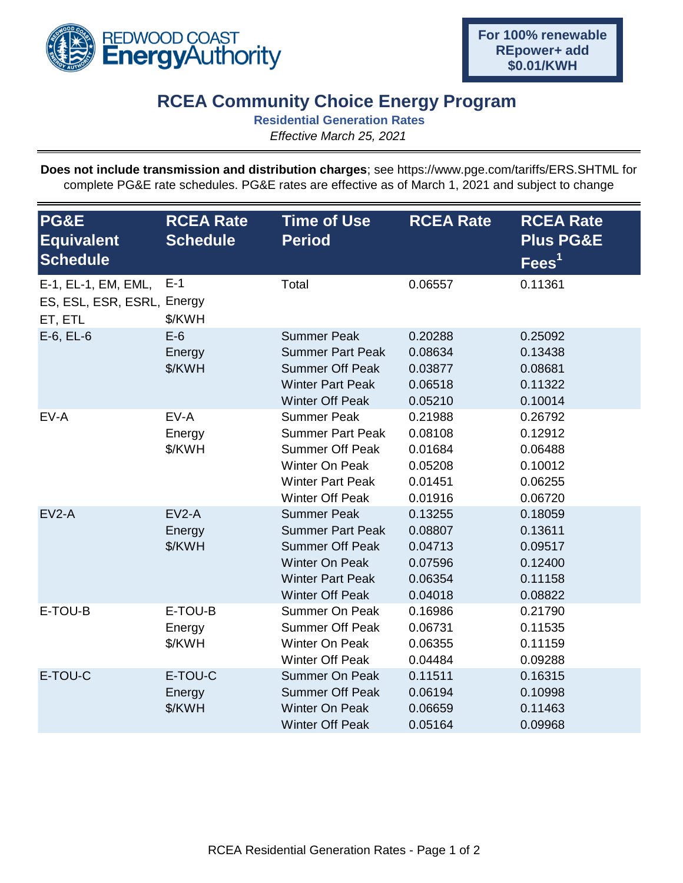

## **RCEA Community Choice Energy Program**

**Residential Generation Rates**

*Effective March 25, 2021*

**Does not include transmission and distribution charges**; see https://www.pge.com/tariffs/ERS.SHTML for complete PG&E rate schedules. PG&E rates are effective as of March 1, 2021 and subject to change

| PG&E<br><b>Equivalent</b><br><b>Schedule</b>                 | <b>RCEA Rate</b><br><b>Schedule</b> | <b>Time of Use</b><br><b>Period</b>                                                                                                                   | <b>RCEA Rate</b>                                               | <b>RCEA Rate</b><br><b>Plus PG&amp;E</b><br>$\text{Fees}^1$    |
|--------------------------------------------------------------|-------------------------------------|-------------------------------------------------------------------------------------------------------------------------------------------------------|----------------------------------------------------------------|----------------------------------------------------------------|
| E-1, EL-1, EM, EML,<br>ES, ESL, ESR, ESRL, Energy<br>ET, ETL | $E-1$<br>\$/KWH                     | Total                                                                                                                                                 | 0.06557                                                        | 0.11361                                                        |
| $E-6$ , $EL-6$                                               | $E-6$<br>Energy<br>\$/KWH           | <b>Summer Peak</b><br><b>Summer Part Peak</b><br><b>Summer Off Peak</b><br><b>Winter Part Peak</b><br><b>Winter Off Peak</b>                          | 0.20288<br>0.08634<br>0.03877<br>0.06518<br>0.05210            | 0.25092<br>0.13438<br>0.08681<br>0.11322<br>0.10014            |
| EV-A                                                         | EV-A<br>Energy<br>\$/KWH            | <b>Summer Peak</b><br><b>Summer Part Peak</b><br><b>Summer Off Peak</b><br><b>Winter On Peak</b><br><b>Winter Part Peak</b><br><b>Winter Off Peak</b> | 0.21988<br>0.08108<br>0.01684<br>0.05208<br>0.01451<br>0.01916 | 0.26792<br>0.12912<br>0.06488<br>0.10012<br>0.06255<br>0.06720 |
| $EV2-A$                                                      | $EV2-A$<br>Energy<br>\$/KWH         | <b>Summer Peak</b><br><b>Summer Part Peak</b><br><b>Summer Off Peak</b><br><b>Winter On Peak</b><br><b>Winter Part Peak</b><br><b>Winter Off Peak</b> | 0.13255<br>0.08807<br>0.04713<br>0.07596<br>0.06354<br>0.04018 | 0.18059<br>0.13611<br>0.09517<br>0.12400<br>0.11158<br>0.08822 |
| E-TOU-B                                                      | E-TOU-B<br>Energy<br>\$/KWH         | <b>Summer On Peak</b><br><b>Summer Off Peak</b><br>Winter On Peak<br><b>Winter Off Peak</b>                                                           | 0.16986<br>0.06731<br>0.06355<br>0.04484                       | 0.21790<br>0.11535<br>0.11159<br>0.09288                       |
| E-TOU-C                                                      | E-TOU-C<br>Energy<br>\$/KWH         | <b>Summer On Peak</b><br><b>Summer Off Peak</b><br><b>Winter On Peak</b><br><b>Winter Off Peak</b>                                                    | 0.11511<br>0.06194<br>0.06659<br>0.05164                       | 0.16315<br>0.10998<br>0.11463<br>0.09968                       |